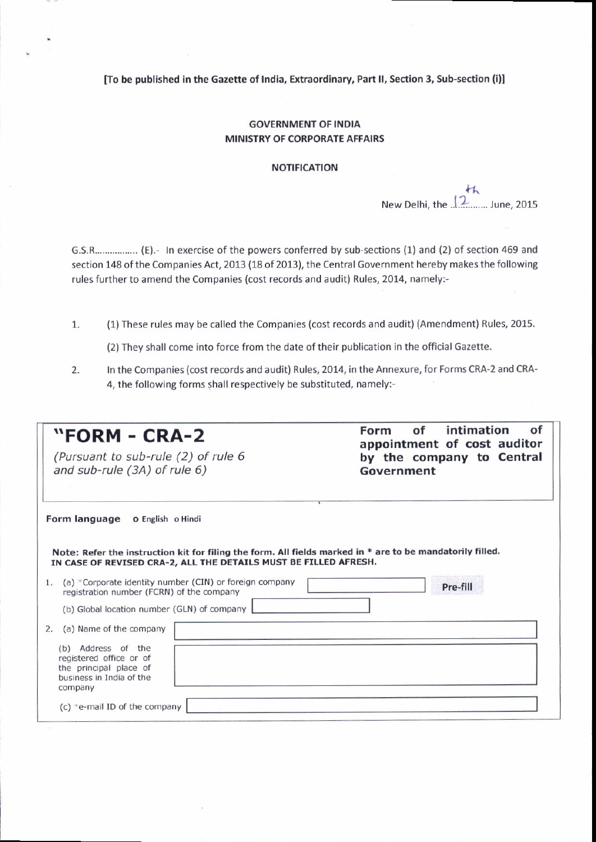[To be published in the Gazette ot India, Extraordinary, Part ll, Section 3, Sub-section (i)l

## GOVERNMENT OF INDIA MINISTRY OF CORPORATE AFFAIRS

## NOTIFICATION

 $th$ New Delhi, the  $12$ ........ June, 2015

G.S.R................. (E).- In exercise of the powers conferred by sub-sections (1) and (2) of section 469 and section 148 of the Companies Act, 2013 (18 of 2013), the Central Government hereby makes the following rules further to amend the Companies {cost records and audit) Rules, 2014, namely:-

- (1)These rules may be called the Companies (cost records and audit) (Amendment) Rules, 2015. 1.
	- (2) They shall come into force from the date of their publication in the official Gazette.
- $2.$ In the Companies (cost records and audit) Rules, 2014, in the Annexure, for Forms CRA-2 and CRA-4, the following forms shall respectively be substituted, namely:

| "FORM - CRA-2<br>(Pursuant to sub-rule (2) of rule 6<br>and sub-rule (3A) of rule 6)                                                                                          | intimation<br>οf<br>Form of<br>appointment of cost auditor<br>by the company to Central<br>Government |
|-------------------------------------------------------------------------------------------------------------------------------------------------------------------------------|-------------------------------------------------------------------------------------------------------|
| Form language o English o Hindi                                                                                                                                               |                                                                                                       |
| Note: Refer the instruction kit for filing the form. All fields marked in * are to be mandatorily filled.<br>IN CASE OF REVISED CRA-2, ALL THE DETAILS MUST BE FILLED AFRESH. |                                                                                                       |
| (a) *Corporate identity number (CIN) or foreign company<br>1.<br>registration number (FCRN) of the company                                                                    | Pre-fill                                                                                              |
| (b) Global location number (GLN) of company                                                                                                                                   |                                                                                                       |
| (a) Name of the company<br>2.                                                                                                                                                 |                                                                                                       |
| (b) Address of the<br>registered office or of<br>the principal place of<br>business in India of the<br>company                                                                |                                                                                                       |
| (c) $*$ e-mail ID of the company                                                                                                                                              |                                                                                                       |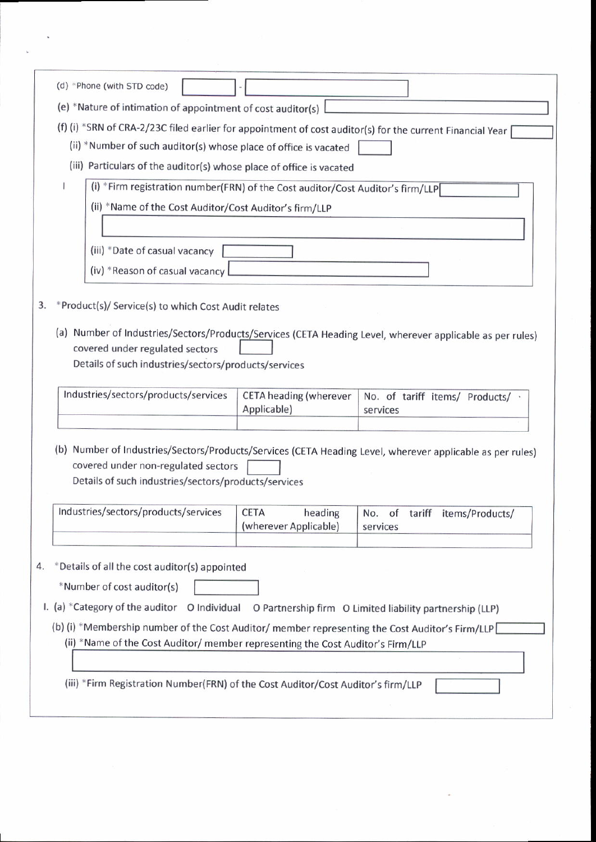|                                                                                                                                                                                                                                                                                                                | (d) *Phone (with STD code)                                                                                                                                                                           |                                              |                                              |  |  |
|----------------------------------------------------------------------------------------------------------------------------------------------------------------------------------------------------------------------------------------------------------------------------------------------------------------|------------------------------------------------------------------------------------------------------------------------------------------------------------------------------------------------------|----------------------------------------------|----------------------------------------------|--|--|
|                                                                                                                                                                                                                                                                                                                | (e) *Nature of intimation of appointment of cost auditor(s)                                                                                                                                          |                                              |                                              |  |  |
|                                                                                                                                                                                                                                                                                                                | (f) (i) *SRN of CRA-2/23C filed earlier for appointment of cost auditor(s) for the current Financial Year<br>(ii) *Number of such auditor(s) whose place of office is vacated                        |                                              |                                              |  |  |
|                                                                                                                                                                                                                                                                                                                | (iii) Particulars of the auditor(s) whose place of office is vacated                                                                                                                                 |                                              |                                              |  |  |
|                                                                                                                                                                                                                                                                                                                | (i) *Firm registration number(FRN) of the Cost auditor/Cost Auditor's firm/LLP                                                                                                                       |                                              |                                              |  |  |
|                                                                                                                                                                                                                                                                                                                | (ii) *Name of the Cost Auditor/Cost Auditor's firm/LLP                                                                                                                                               |                                              |                                              |  |  |
|                                                                                                                                                                                                                                                                                                                |                                                                                                                                                                                                      |                                              |                                              |  |  |
|                                                                                                                                                                                                                                                                                                                | (iii) *Date of casual vacancy<br>(iv) *Reason of casual vacancy                                                                                                                                      |                                              |                                              |  |  |
| 3.                                                                                                                                                                                                                                                                                                             | *Product(s)/ Service(s) to which Cost Audit relates                                                                                                                                                  |                                              |                                              |  |  |
|                                                                                                                                                                                                                                                                                                                | (a) Number of Industries/Sectors/Products/Services (CETA Heading Level, wherever applicable as per rules)<br>covered under regulated sectors<br>Details of such industries/sectors/products/services |                                              |                                              |  |  |
|                                                                                                                                                                                                                                                                                                                | Industries/sectors/products/services                                                                                                                                                                 | <b>CETA heading (wherever</b><br>Applicable) | No. of tariff items/ Products/ .<br>services |  |  |
| (b) Number of Industries/Sectors/Products/Services (CETA Heading Level, wherever applicable as per rules)<br>covered under non-regulated sectors<br>Details of such industries/sectors/products/services<br>Industries/sectors/products/services<br><b>CETA</b><br>heading<br>No. of tariff<br>items/Products/ |                                                                                                                                                                                                      |                                              |                                              |  |  |
|                                                                                                                                                                                                                                                                                                                |                                                                                                                                                                                                      | (wherever Applicable)                        | services                                     |  |  |
| 4.                                                                                                                                                                                                                                                                                                             | *Details of all the cost auditor(s) appointed                                                                                                                                                        |                                              |                                              |  |  |
|                                                                                                                                                                                                                                                                                                                | *Number of cost auditor(s)                                                                                                                                                                           |                                              |                                              |  |  |
|                                                                                                                                                                                                                                                                                                                | I. (a) *Category of the auditor O Individual O Partnership firm O Limited liability partnership (LLP)                                                                                                |                                              |                                              |  |  |
|                                                                                                                                                                                                                                                                                                                | (b) (i) *Membership number of the Cost Auditor/ member representing the Cost Auditor's Firm/LLP<br>(ii) *Name of the Cost Auditor/ member representing the Cost Auditor's Firm/LLP                   |                                              |                                              |  |  |
|                                                                                                                                                                                                                                                                                                                | (iii) *Firm Registration Number(FRN) of the Cost Auditor/Cost Auditor's firm/LLP                                                                                                                     |                                              |                                              |  |  |
|                                                                                                                                                                                                                                                                                                                |                                                                                                                                                                                                      |                                              |                                              |  |  |
|                                                                                                                                                                                                                                                                                                                |                                                                                                                                                                                                      |                                              |                                              |  |  |

 $\ddot{\phantom{0}}$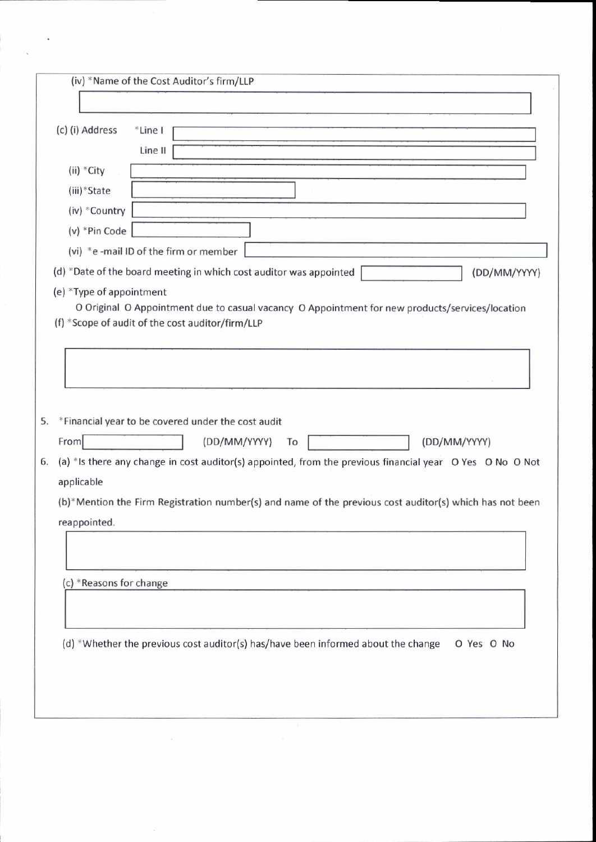| (iv) *Name of the Cost Auditor's firm/LLP                                                                                                                                                                                              |  |  |  |
|----------------------------------------------------------------------------------------------------------------------------------------------------------------------------------------------------------------------------------------|--|--|--|
|                                                                                                                                                                                                                                        |  |  |  |
| (c) (i) Address<br>*Line I<br>Line II                                                                                                                                                                                                  |  |  |  |
| (ii) *City                                                                                                                                                                                                                             |  |  |  |
| (iii)*State                                                                                                                                                                                                                            |  |  |  |
| (iv) *Country                                                                                                                                                                                                                          |  |  |  |
| (v) *Pin Code                                                                                                                                                                                                                          |  |  |  |
| (vi) *e -mail ID of the firm or member                                                                                                                                                                                                 |  |  |  |
| (d) *Date of the board meeting in which cost auditor was appointed<br>(DD/MM/YYYY)                                                                                                                                                     |  |  |  |
| (e) *Type of appointment<br>O Original O Appointment due to casual vacancy O Appointment for new products/services/location<br>(f) *Scope of audit of the cost auditor/firm/LLP                                                        |  |  |  |
|                                                                                                                                                                                                                                        |  |  |  |
| *Financial year to be covered under the cost audit<br>5.<br>(DD/MM/YYYY)<br>From<br>(DD/MM/YYYY)<br>To<br>(a) *Is there any change in cost auditor(s) appointed, from the previous financial year O Yes O No O Not<br>6.<br>applicable |  |  |  |
| (b)*Mention the Firm Registration number(s) and name of the previous cost auditor(s) which has not been<br>reappointed.                                                                                                                |  |  |  |
| (c) *Reasons for change                                                                                                                                                                                                                |  |  |  |
| (d) *Whether the previous cost auditor(s) has/have been informed about the change<br>O Yes O No                                                                                                                                        |  |  |  |
|                                                                                                                                                                                                                                        |  |  |  |

 $\tilde{\Sigma}$ 

 $\ddot{\phantom{a}}$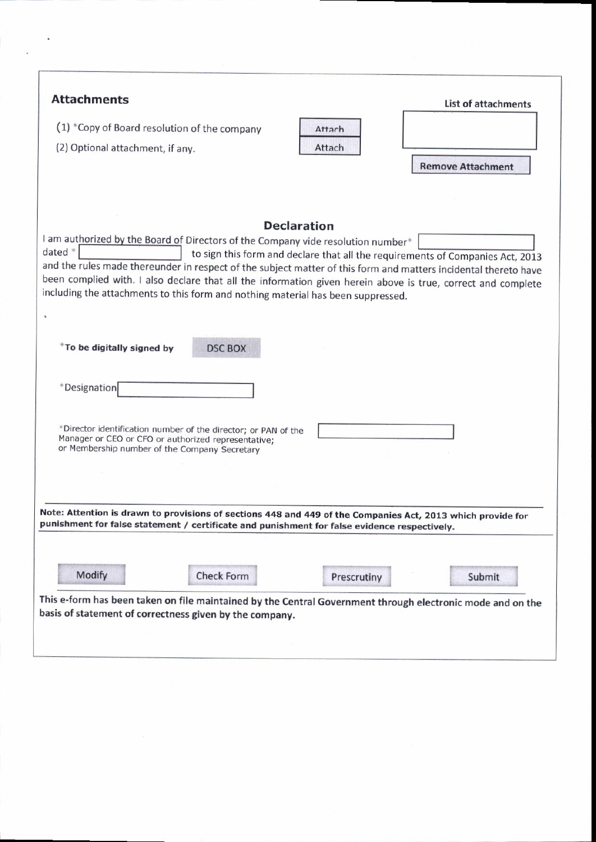| <b>Attachments</b>                                                                                                                                                            | <b>List of attachments</b>                                                                                      |  |  |
|-------------------------------------------------------------------------------------------------------------------------------------------------------------------------------|-----------------------------------------------------------------------------------------------------------------|--|--|
| (1) *Copy of Board resolution of the company                                                                                                                                  | Attach                                                                                                          |  |  |
| (2) Optional attachment, if any.                                                                                                                                              | Attach                                                                                                          |  |  |
|                                                                                                                                                                               | <b>Remove Attachment</b>                                                                                        |  |  |
|                                                                                                                                                                               |                                                                                                                 |  |  |
|                                                                                                                                                                               |                                                                                                                 |  |  |
|                                                                                                                                                                               | <b>Declaration</b>                                                                                              |  |  |
| I am authorized by the Board of Directors of the Company vide resolution number*<br>dated *<br>to sign this form and declare that all the requirements of Companies Act, 2013 |                                                                                                                 |  |  |
|                                                                                                                                                                               | and the rules made thereunder in respect of the subject matter of this form and matters incidental thereto have |  |  |
|                                                                                                                                                                               | been complied with. I also declare that all the information given herein above is true, correct and complete    |  |  |
| including the attachments to this form and nothing material has been suppressed.                                                                                              |                                                                                                                 |  |  |
|                                                                                                                                                                               |                                                                                                                 |  |  |
|                                                                                                                                                                               |                                                                                                                 |  |  |
| *To be digitally signed by<br><b>DSC BOX</b>                                                                                                                                  |                                                                                                                 |  |  |
|                                                                                                                                                                               |                                                                                                                 |  |  |
| *Designation                                                                                                                                                                  |                                                                                                                 |  |  |
|                                                                                                                                                                               |                                                                                                                 |  |  |
| *Director identification number of the director; or PAN of the                                                                                                                |                                                                                                                 |  |  |
| Manager or CEO or CFO or authorized representative:<br>or Membership number of the Company Secretary                                                                          |                                                                                                                 |  |  |
|                                                                                                                                                                               |                                                                                                                 |  |  |
|                                                                                                                                                                               |                                                                                                                 |  |  |
|                                                                                                                                                                               |                                                                                                                 |  |  |
|                                                                                                                                                                               | Note: Attention is drawn to provisions of sections 448 and 449 of the Companies Act, 2013 which provide for     |  |  |
| punishment for false statement / certificate and punishment for false evidence respectively.                                                                                  |                                                                                                                 |  |  |
|                                                                                                                                                                               |                                                                                                                 |  |  |
| Modify<br><b>Check Form</b>                                                                                                                                                   |                                                                                                                 |  |  |
|                                                                                                                                                                               | Prescrutiny<br>Submit                                                                                           |  |  |
|                                                                                                                                                                               | This e-form has been taken on file maintained by the Central Government through electronic mode and on the      |  |  |
| basis of statement of correctness given by the company.                                                                                                                       |                                                                                                                 |  |  |
|                                                                                                                                                                               |                                                                                                                 |  |  |
|                                                                                                                                                                               |                                                                                                                 |  |  |

 $\overline{\mathcal{L}}$  $\ddot{\phantom{0}}$